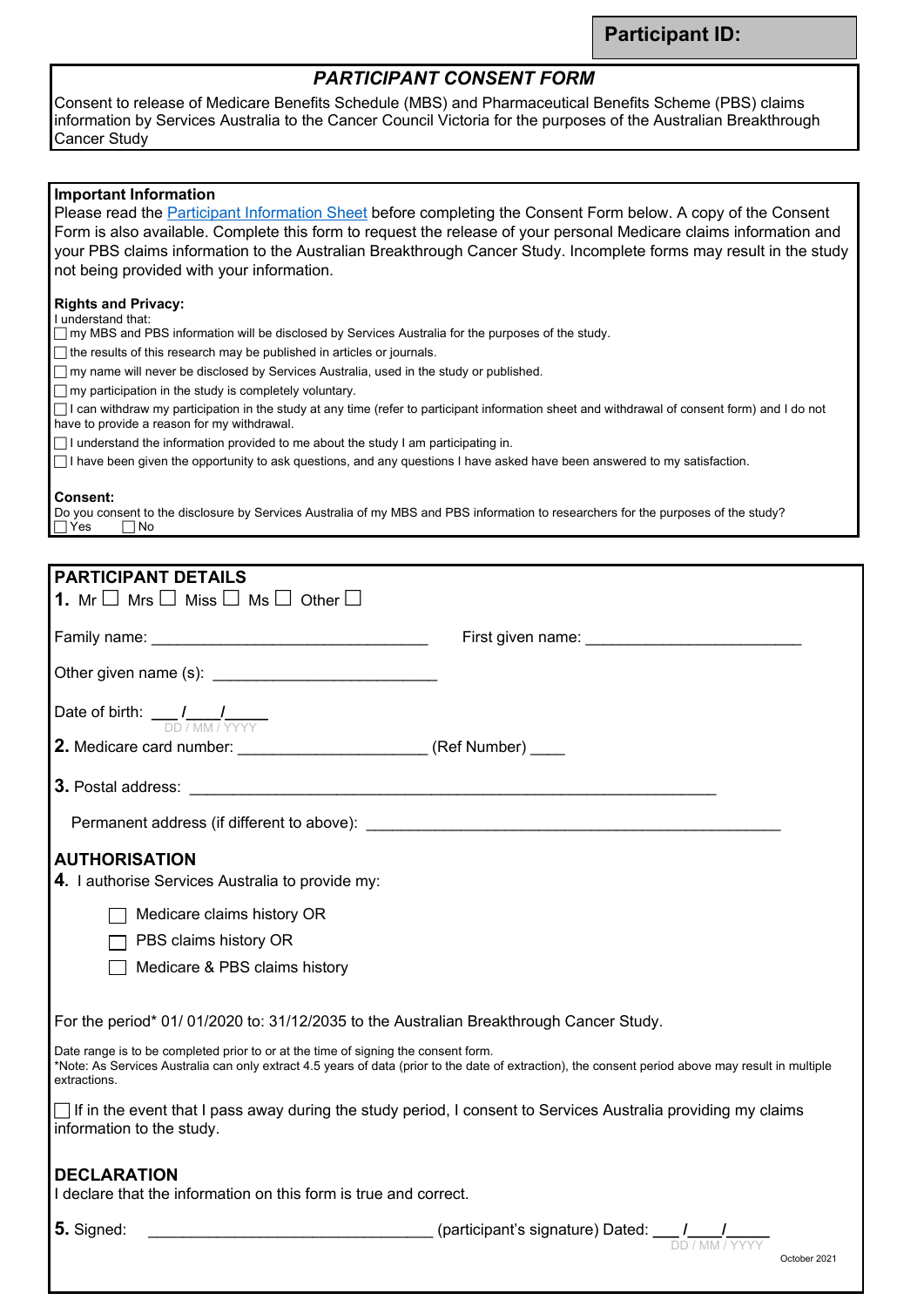## *PARTICIPANT CONSENT FORM*

Consent to release of Medicare Benefits Schedule (MBS) and Pharmaceutical Benefits Scheme (PBS) claims information by Services Australia to the Cancer Council Victoria for the purposes of the Australian Breakthrough Cancer Study

| <b>Important Information</b><br>Please read the Participant Information Sheet before completing the Consent Form below. A copy of the Consent                                                                                                                                                                                                                                             |
|-------------------------------------------------------------------------------------------------------------------------------------------------------------------------------------------------------------------------------------------------------------------------------------------------------------------------------------------------------------------------------------------|
| Form is also available. Complete this form to request the release of your personal Medicare claims information and                                                                                                                                                                                                                                                                        |
| your PBS claims information to the Australian Breakthrough Cancer Study. Incomplete forms may result in the study                                                                                                                                                                                                                                                                         |
| not being provided with your information.                                                                                                                                                                                                                                                                                                                                                 |
| <b>Rights and Privacy:</b>                                                                                                                                                                                                                                                                                                                                                                |
| I understand that:<br>$\Box$ my MBS and PBS information will be disclosed by Services Australia for the purposes of the study.                                                                                                                                                                                                                                                            |
| $\Box$ the results of this research may be published in articles or journals.                                                                                                                                                                                                                                                                                                             |
| $\Box$ my name will never be disclosed by Services Australia, used in the study or published.                                                                                                                                                                                                                                                                                             |
| $\Box$ my participation in the study is completely voluntary.                                                                                                                                                                                                                                                                                                                             |
| $\Box$ I can withdraw my participation in the study at any time (refer to participant information sheet and withdrawal of consent form) and I do not<br>have to provide a reason for my withdrawal.                                                                                                                                                                                       |
| $\Box$ I understand the information provided to me about the study I am participating in.                                                                                                                                                                                                                                                                                                 |
| □ I have been given the opportunity to ask questions, and any questions I have asked have been answered to my satisfaction.                                                                                                                                                                                                                                                               |
| <b>Consent:</b>                                                                                                                                                                                                                                                                                                                                                                           |
| Do you consent to the disclosure by Services Australia of my MBS and PBS information to researchers for the purposes of the study?                                                                                                                                                                                                                                                        |
| ∣ ∣Yes<br>∣ ∣No                                                                                                                                                                                                                                                                                                                                                                           |
|                                                                                                                                                                                                                                                                                                                                                                                           |
| <b>PARTICIPANT DETAILS</b>                                                                                                                                                                                                                                                                                                                                                                |
| <b>1.</b> Mr $\Box$ Mrs $\Box$ Miss $\Box$ Ms $\Box$ Other $\Box$                                                                                                                                                                                                                                                                                                                         |
| First given name: ____________                                                                                                                                                                                                                                                                                                                                                            |
|                                                                                                                                                                                                                                                                                                                                                                                           |
| Other given name (s): <b>contained a manufacturer and contained a manufacturer of the contained and contained a manufacturer</b>                                                                                                                                                                                                                                                          |
| Date of birth: $\frac{1}{\sqrt{D}} \frac{1}{\sqrt{M} \cdot \frac{1}{\sqrt{Y} \cdot Y \cdot Y}}$                                                                                                                                                                                                                                                                                           |
| 2. Medicare card number: _________________________ (Ref Number) ____                                                                                                                                                                                                                                                                                                                      |
|                                                                                                                                                                                                                                                                                                                                                                                           |
|                                                                                                                                                                                                                                                                                                                                                                                           |
| Permanent address (if different to above):                                                                                                                                                                                                                                                                                                                                                |
| <b>AUTHORISATION</b>                                                                                                                                                                                                                                                                                                                                                                      |
| 4. I authorise Services Australia to provide my:                                                                                                                                                                                                                                                                                                                                          |
|                                                                                                                                                                                                                                                                                                                                                                                           |
| Medicare claims history OR                                                                                                                                                                                                                                                                                                                                                                |
| PBS claims history OR                                                                                                                                                                                                                                                                                                                                                                     |
| Medicare & PBS claims history                                                                                                                                                                                                                                                                                                                                                             |
| For the period* 01/ 01/2020 to: 31/12/2035 to the Australian Breakthrough Cancer Study.                                                                                                                                                                                                                                                                                                   |
|                                                                                                                                                                                                                                                                                                                                                                                           |
| Date range is to be completed prior to or at the time of signing the consent form.<br>*Note: As Services Australia can only extract 4.5 years of data (prior to the date of extraction), the consent period above may result in multiple<br>extractions.                                                                                                                                  |
| If in the event that I pass away during the study period, I consent to Services Australia providing my claims<br>information to the study.                                                                                                                                                                                                                                                |
| <b>DECLARATION</b>                                                                                                                                                                                                                                                                                                                                                                        |
| I declare that the information on this form is true and correct.                                                                                                                                                                                                                                                                                                                          |
| $5.$ Signed:<br>$\begin{array}{r} \text{(participant's signature)} \ \text{Dated:} \ \begin{array}{r} \begin{array}{c} \text{D} \end{array} \ \text{D} \end{array} \ \begin{array}{r} \text{D} \end{array} \ \begin{array}{r} \text{D} \end{array} \ \begin{array}{r} \text{D} \end{array} \ \begin{array}{r} \text{D} \end{array} \ \begin{array}{r} \text{D} \end{array} \ \end{array}$ |
| October 2021                                                                                                                                                                                                                                                                                                                                                                              |